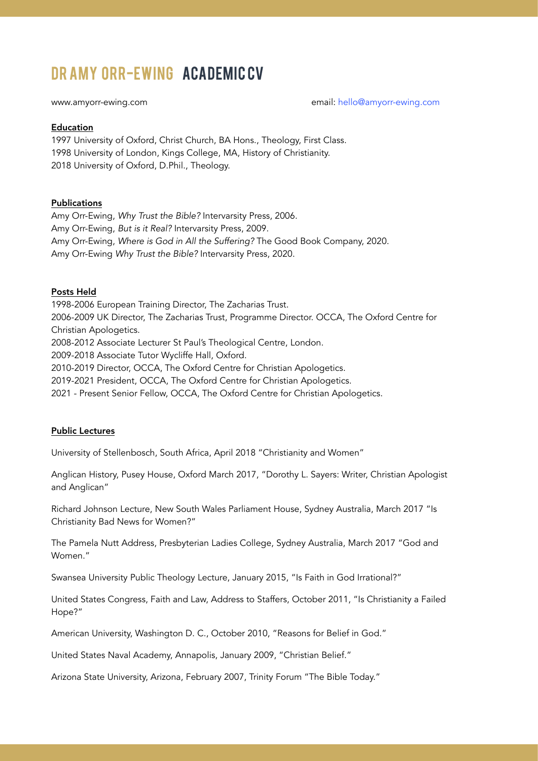# DRAMY ORR-EWING ACADEMIC CV

```
www.amyorr-ewing.com hello@amyorr-ewing.com
```
#### Education

1997 University of Oxford, Christ Church, BA Hons., Theology, First Class. 1998 University of London, Kings College, MA, History of Christianity. 2018 University of Oxford, D.Phil., Theology.

### Publications

Amy Orr-Ewing, *Why Trust the Bible?* Intervarsity Press, 2006. Amy Orr-Ewing, *But is it Real?* Intervarsity Press, 2009. Amy Orr-Ewing, *Where is God in All the Suffering?* The Good Book Company, 2020. Amy Orr-Ewing *Why Trust the Bible?* Intervarsity Press, 2020.

# Posts Held

1998-2006 European Training Director, The Zacharias Trust. 2006-2009 UK Director, The Zacharias Trust, Programme Director. OCCA, The Oxford Centre for Christian Apologetics. 2008-2012 Associate Lecturer St Paul's Theological Centre, London.

2009-2018 Associate Tutor Wycliffe Hall, Oxford.

2010-2019 Director, OCCA, The Oxford Centre for Christian Apologetics.

2019-2021 President, OCCA, The Oxford Centre for Christian Apologetics.

2021 - Present Senior Fellow, OCCA, The Oxford Centre for Christian Apologetics.

# Public Lectures

University of Stellenbosch, South Africa, April 2018 "Christianity and Women"

Anglican History, Pusey House, Oxford March 2017, "Dorothy L. Sayers: Writer, Christian Apologist and Anglican"

Richard Johnson Lecture, New South Wales Parliament House, Sydney Australia, March 2017 "Is Christianity Bad News for Women?"

The Pamela Nutt Address, Presbyterian Ladies College, Sydney Australia, March 2017 "God and Women."

Swansea University Public Theology Lecture, January 2015, "Is Faith in God Irrational?"

United States Congress, Faith and Law, Address to Staffers, October 2011, "Is Christianity a Failed Hope?"

American University, Washington D. C., October 2010, "Reasons for Belief in God."

United States Naval Academy, Annapolis, January 2009, "Christian Belief."

Arizona State University, Arizona, February 2007, Trinity Forum "The Bible Today."